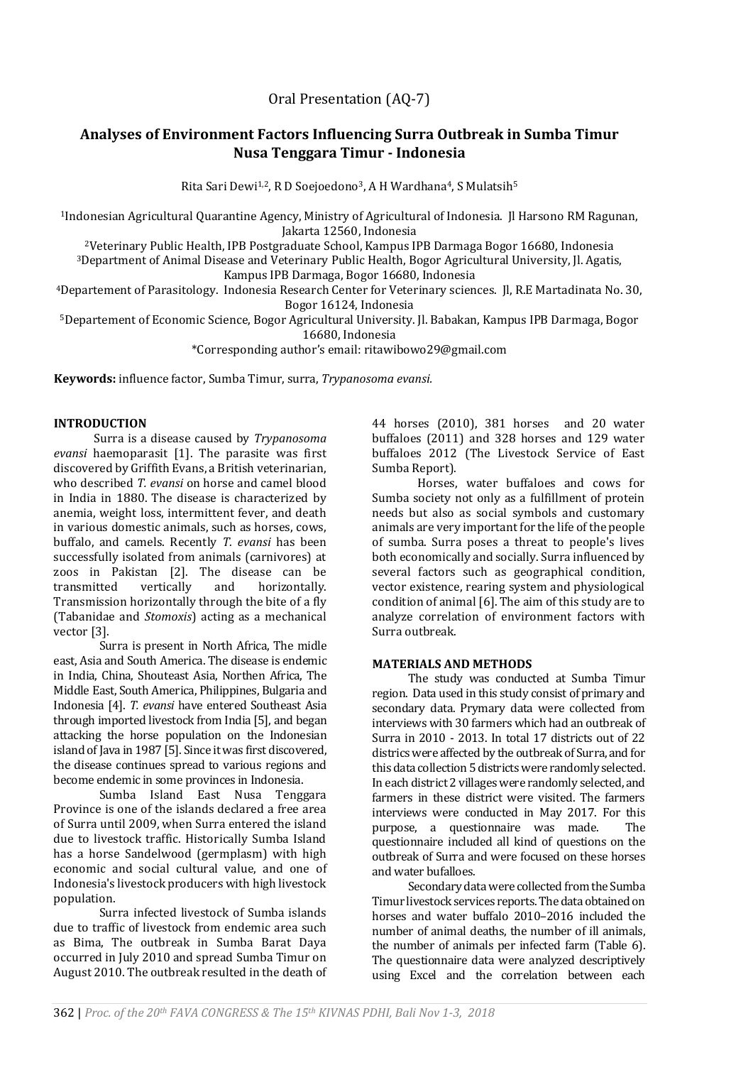Oral Presentation (AQ-7)

# **Analyses of Environment Factors Influencing Surra Outbreak in Sumba Timur Nusa Tenggara Timur - Indonesia**

Rita Sari Dewi<sup>1,2</sup>, R D Soejoedono<sup>3</sup>, A H Wardhana<sup>4</sup>, S Mulatsih<sup>5</sup>

<sup>1</sup>Indonesian Agricultural Quarantine Agency, Ministry of Agricultural of Indonesia. Jl Harsono RM Ragunan, Jakarta 12560, Indonesia

<sup>2</sup>Veterinary Public Health, IPB Postgraduate School, Kampus IPB Darmaga Bogor 16680, Indonesia

<sup>3</sup>Department of Animal Disease and Veterinary Public Health, Bogor Agricultural University, Jl. Agatis, Kampus IPB Darmaga, Bogor 16680, Indonesia

<sup>4</sup>Departement of Parasitology. Indonesia Research Center for Veterinary sciences. Jl, R.E Martadinata No. 30, Bogor 16124, Indonesia

<sup>5</sup>Departement of Economic Science, Bogor Agricultural University. Jl. Babakan, Kampus IPB Darmaga, Bogor 16680, Indonesia

\*Corresponding author's email: ritawibowo29@gmail.com

**Keywords:** influence factor, Sumba Timur, surra, *Trypanosoma evansi.*

# **INTRODUCTION**

Surra is a disease caused by *Trypanosoma evansi* haemoparasit [1]. The parasite was first discovered by Griffith Evans, a British veterinarian, who described *T. evansi* on horse and camel blood in India in 1880. The disease is characterized by anemia, weight loss, intermittent fever, and death in various domestic animals, such as horses, cows, buffalo, and camels. Recently *T. evansi* has been successfully isolated from animals (carnivores) at zoos in Pakistan [2]. The disease can be transmitted vertically and horizontally. Transmission horizontally through the bite of a fly (Tabanidae and *Stomoxis*) acting as a mechanical vector [3].

Surra is present in North Africa, The midle east, Asia and South America. The disease is endemic in India, China, Shouteast Asia, Northen Africa, The Middle East, South America, Philippines, Bulgaria and Indonesia [4]. *T. evansi* have entered Southeast Asia through imported livestock from India [5], and began attacking the horse population on the Indonesian island of Java in 1987 [5]. Since it was first discovered, the disease continues spread to various regions and become endemic in some provinces in Indonesia.

Sumba Island East Nusa Tenggara Province is one of the islands declared a free area of Surra until 2009, when Surra entered the island due to livestock traffic. Historically Sumba Island has a horse Sandelwood (germplasm) with high economic and social cultural value, and one of Indonesia's livestock producers with high livestock population.

Surra infected livestock of Sumba islands due to traffic of livestock from endemic area such as Bima, The outbreak in Sumba Barat Daya occurred in July 2010 and spread Sumba Timur on August 2010. The outbreak resulted in the death of 44 horses (2010), 381 horses and 20 water buffaloes (2011) and 328 horses and 129 water buffaloes 2012 (The Livestock Service of East Sumba Report).

Horses, water buffaloes and cows for Sumba society not only as a fulfillment of protein needs but also as social symbols and customary animals are very important for the life of the people of sumba. Surra poses a threat to people's lives both economically and socially. Surra influenced by several factors such as geographical condition, vector existence, rearing system and physiological condition of animal [6]. The aim of this study are to analyze correlation of environment factors with Surra outbreak.

### **MATERIALS AND METHODS**

The study was conducted at Sumba Timur region. Data used in this study consist of primary and secondary data. Prymary data were collected from interviews with 30 farmers which had an outbreak of Surra in 2010 - 2013. In total 17 districts out of 22 districs were affected by the outbreak of Surra, and for this data collection 5 districts were randomly selected. In each district 2 villages were randomly selected, and farmers in these district were visited. The farmers interviews were conducted in May 2017. For this purpose, a questionnaire was made. The questionnaire included all kind of questions on the outbreak of Surra and were focused on these horses and water bufalloes.

Secondary data were collected from the Sumba Timur livestock services reports. The data obtained on horses and water buffalo 2010–2016 included the number of animal deaths, the number of ill animals, the number of animals per infected farm (Table 6). The questionnaire data were analyzed descriptively using Excel and the correlation between each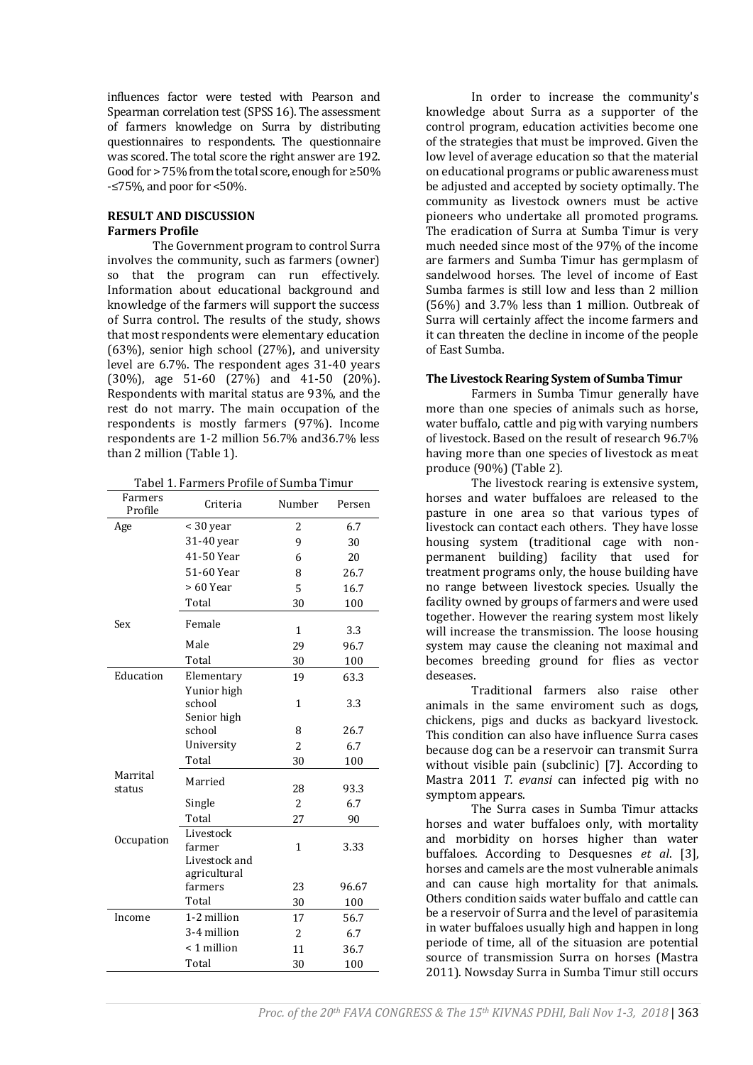influences factor were tested with Pearson and Spearman correlation test (SPSS 16). The assessment of farmers knowledge on Surra by distributing questionnaires to respondents. The questionnaire was scored. The total score the right answer are 192. Good for > 75% from the total score, enough for ≥50% -≤75%, and poor for <50%.

# **RESULT AND DISCUSSION Farmers Profile**

The Government program to control Surra involves the community, such as farmers (owner) so that the program can run effectively. Information about educational background and knowledge of the farmers will support the success of Surra control. The results of the study, shows that most respondents were elementary education (63%), senior high school (27%), and university level are 6.7%. The respondent ages 31-40 years (30%), age 51-60 (27%) and 41-50 (20%). Respondents with marital status are 93%, and the rest do not marry. The main occupation of the respondents is mostly farmers (97%). Income respondents are 1-2 million 56.7% and36.7% less than 2 million (Table 1).

| Tabel 1. Farmers Profile of Sumba Timur |
|-----------------------------------------|
|-----------------------------------------|

| Farmers<br>Profile | Criteria                | Number         | Persen |
|--------------------|-------------------------|----------------|--------|
| Age                | < 30 year               | 2              | 6.7    |
|                    | 31-40 year              | 9              | 30     |
|                    | 41-50 Year              | 6              | 20     |
|                    | 51-60 Year              | 8              | 26.7   |
|                    | > 60 Year               | 5              | 16.7   |
|                    | Total                   | 30             | 100    |
| Sex                | Female                  | 1              | 3.3    |
|                    | Male                    | 29             | 96.7   |
|                    | Total                   | 30             | 100    |
| Education          | Elementary              | 19             | 63.3   |
|                    | Yunior high             |                |        |
|                    | school                  | 1              | 3.3    |
|                    | Senior high             |                |        |
|                    | school                  | 8              | 26.7   |
|                    | University              | 2              | 6.7    |
|                    | Total                   | 30             | 100    |
| Marrital<br>status | Married                 | 28             | 93.3   |
|                    | Single                  | $\overline{c}$ | 6.7    |
|                    | Total                   | 27             | 90     |
| Occupation         | Livestock               |                |        |
|                    | farmer                  | 1              | 3.33   |
|                    | Livestock and           |                |        |
|                    | agricultural<br>farmers | 23             | 96.67  |
|                    | Total                   | 30             | 100    |
| Income             | 1-2 million             | 17             | 56.7   |
|                    | 3-4 million             | $\overline{2}$ | 6.7    |
|                    | < 1 million             |                |        |
|                    |                         | 11             | 36.7   |
|                    | Total                   | 30             | 100    |

In order to increase the community's knowledge about Surra as a supporter of the control program, education activities become one of the strategies that must be improved. Given the low level of average education so that the material on educational programs or public awareness must be adjusted and accepted by society optimally. The community as livestock owners must be active pioneers who undertake all promoted programs. The eradication of Surra at Sumba Timur is very much needed since most of the 97% of the income are farmers and Sumba Timur has germplasm of sandelwood horses. The level of income of East Sumba farmes is still low and less than 2 million (56%) and 3.7% less than 1 million. Outbreak of Surra will certainly affect the income farmers and it can threaten the decline in income of the people of East Sumba.

### **The Livestock Rearing System of Sumba Timur**

Farmers in Sumba Timur generally have more than one species of animals such as horse, water buffalo, cattle and pig with varying numbers of livestock. Based on the result of research 96.7% having more than one species of livestock as meat produce (90%) (Table 2).

The livestock rearing is extensive system, horses and water buffaloes are released to the pasture in one area so that various types of livestock can contact each others. They have losse housing system (traditional cage with nonpermanent building) facility that used for treatment programs only, the house building have no range between livestock species. Usually the facility owned by groups of farmers and were used together. However the rearing system most likely will increase the transmission. The loose housing system may cause the cleaning not maximal and becomes breeding ground for flies as vector deseases.

Traditional farmers also raise other animals in the same enviroment such as dogs, chickens, pigs and ducks as backyard livestock. This condition can also have influence Surra cases because dog can be a reservoir can transmit Surra without visible pain (subclinic) [7]. According to Mastra 2011 *T. evansi* can infected pig with no symptom appears.

The Surra cases in Sumba Timur attacks horses and water buffaloes only, with mortality and morbidity on horses higher than water buffaloes. According to Desquesnes *et al*. [3], horses and camels are the most vulnerable animals and can cause high mortality for that animals. Others condition saids water buffalo and cattle can be a reservoir of Surra and the level of parasitemia in water buffaloes usually high and happen in long periode of time, all of the situasion are potential source of transmission Surra on horses (Mastra 2011). Nowsday Surra in Sumba Timur still occurs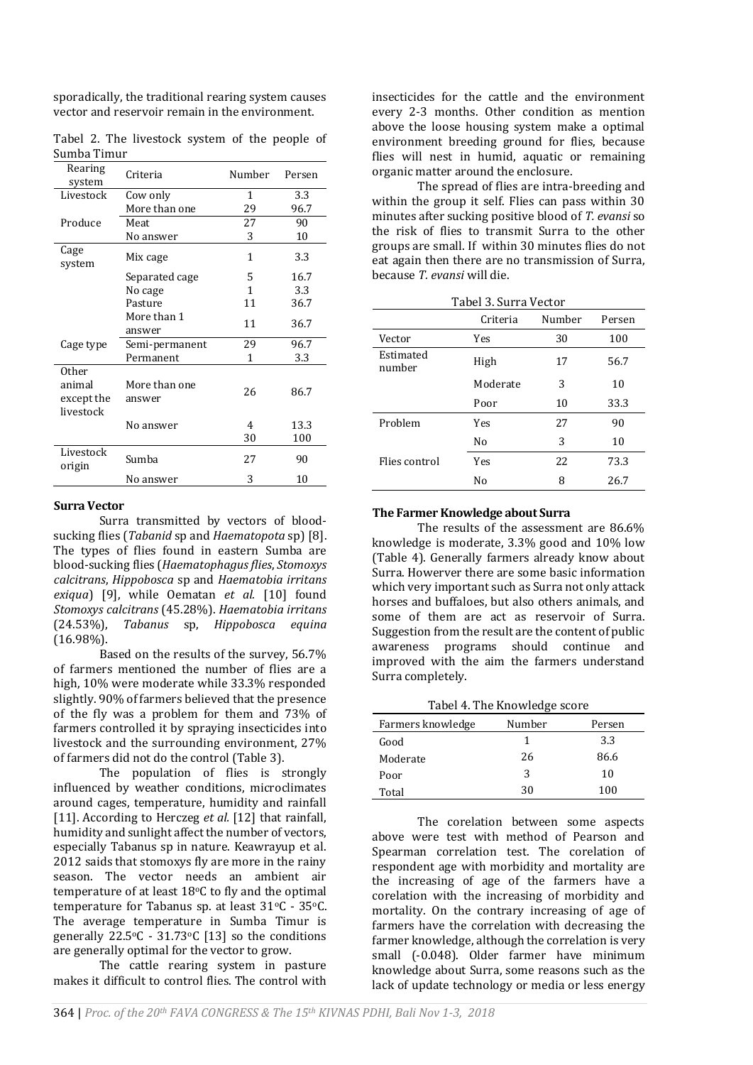sporadically, the traditional rearing system causes vector and reservoir remain in the environment.

|             |  | Tabel 2. The livestock system of the people of |  |  |  |
|-------------|--|------------------------------------------------|--|--|--|
| Sumba Timur |  |                                                |  |  |  |

| Rearing<br>system                          | Criteria                | Number | Persen |
|--------------------------------------------|-------------------------|--------|--------|
| Livestock                                  | Cow only                | 1      | 3.3    |
|                                            | More than one           | 29     | 96.7   |
| Produce                                    | Meat                    | 27     | 90     |
|                                            | No answer               | 3      | 10     |
| Cage<br>system                             | Mix cage                | 1      | 3.3    |
|                                            | Separated cage          | 5      | 16.7   |
|                                            | No cage                 | 1      | 3.3    |
|                                            | Pasture                 | 11     | 36.7   |
|                                            | More than 1<br>answer   | 11     | 36.7   |
| Cage type                                  | Semi-permanent          | 29     | 96.7   |
|                                            | Permanent               | 1      | 3.3    |
| 0ther<br>animal<br>except the<br>livestock | More than one<br>answer | 26     | 86.7   |
|                                            | No answer               | 4      | 13.3   |
|                                            |                         | 30     | 100    |
| Livestock<br>origin                        | Sumba                   | 27     | 90     |
|                                            | No answer               | 3      | 10     |

#### **Surra Vector**

Surra transmitted by vectors of bloodsucking flies (*Tabanid* sp and *Haematopota* sp) [8]. The types of flies found in eastern Sumba are blood-sucking flies (*Haematophagusflies*, *Stomoxys calcitrans*, *Hippobosca* sp and *Haematobia irritans exiqua*) [9], while Oematan *et al.* [10] found *Stomoxys calcitrans* (45.28%). *Haematobia irritans* (24.53%), *Tabanus* sp, *Hippobosca equina* (16.98%).

Based on the results of the survey, 56.7% of farmers mentioned the number of flies are a high, 10% were moderate while 33.3% responded slightly. 90% of farmers believed that the presence of the fly was a problem for them and 73% of farmers controlled it by spraying insecticides into livestock and the surrounding environment, 27% of farmers did not do the control (Table 3).

The population of flies is strongly influenced by weather conditions, microclimates around cages, temperature, humidity and rainfall [11]. According to Herczeg *et al.* [12] that rainfall, humidity and sunlight affect the number of vectors, especially Tabanus sp in nature. Keawrayup et al. 2012 saids that stomoxys fly are more in the rainy season. The vector needs an ambient air temperature of at least 18oC to fly and the optimal temperature for Tabanus sp. at least 31°C - 35°C. The average temperature in Sumba Timur is generally  $22.5\degree$ C -  $31.73\degree$ C [13] so the conditions are generally optimal for the vector to grow.

The cattle rearing system in pasture makes it difficult to control flies. The control with

insecticides for the cattle and the environment every 2-3 months. Other condition as mention above the loose housing system make a optimal environment breeding ground for flies, because flies will nest in humid, aquatic or remaining organic matter around the enclosure.

The spread of flies are intra-breeding and within the group it self. Flies can pass within 30 minutes after sucking positive blood of *T. evansi* so the risk of flies to transmit Surra to the other groups are small. If within 30 minutes flies do not eat again then there are no transmission of Surra, because *T. evansi* will die.

| Tabel 3. Surra Vector |  |
|-----------------------|--|
|                       |  |

|                     | Criteria | Number | Persen |
|---------------------|----------|--------|--------|
| Vector              | Yes      | 30     | 100    |
| Estimated<br>number | High     | 17     | 56.7   |
|                     | Moderate | 3      | 10     |
|                     | Poor     | 10     | 33.3   |
| Problem             | Yes      | 27     | 90     |
|                     | No       | 3      | 10     |
| Flies control       | Yes      | 22     | 73.3   |
|                     | No       | 8      | 26.7   |

### **The Farmer Knowledge about Surra**

The results of the assessment are 86.6% knowledge is moderate, 3.3% good and 10% low (Table 4). Generally farmers already know about Surra. Howerver there are some basic information which very important such as Surra not only attack horses and buffaloes, but also others animals, and some of them are act as reservoir of Surra. Suggestion from the result are the content of public awareness programs should continue and improved with the aim the farmers understand Surra completely.

Tabel 4. The Knowledge score

| Farmers knowledge | Number | Persen |
|-------------------|--------|--------|
| Good              | 1      | 3.3    |
| Moderate          | 26     | 86.6   |
| Poor              | 3      | 10     |
| Total             | 30     | 100    |

The corelation between some aspects above were test with method of Pearson and Spearman correlation test. The corelation of respondent age with morbidity and mortality are the increasing of age of the farmers have a corelation with the increasing of morbidity and mortality. On the contrary increasing of age of farmers have the correlation with decreasing the farmer knowledge, although the correlation is very small (-0.048). Older farmer have minimum knowledge about Surra, some reasons such as the lack of update technology or media or less energy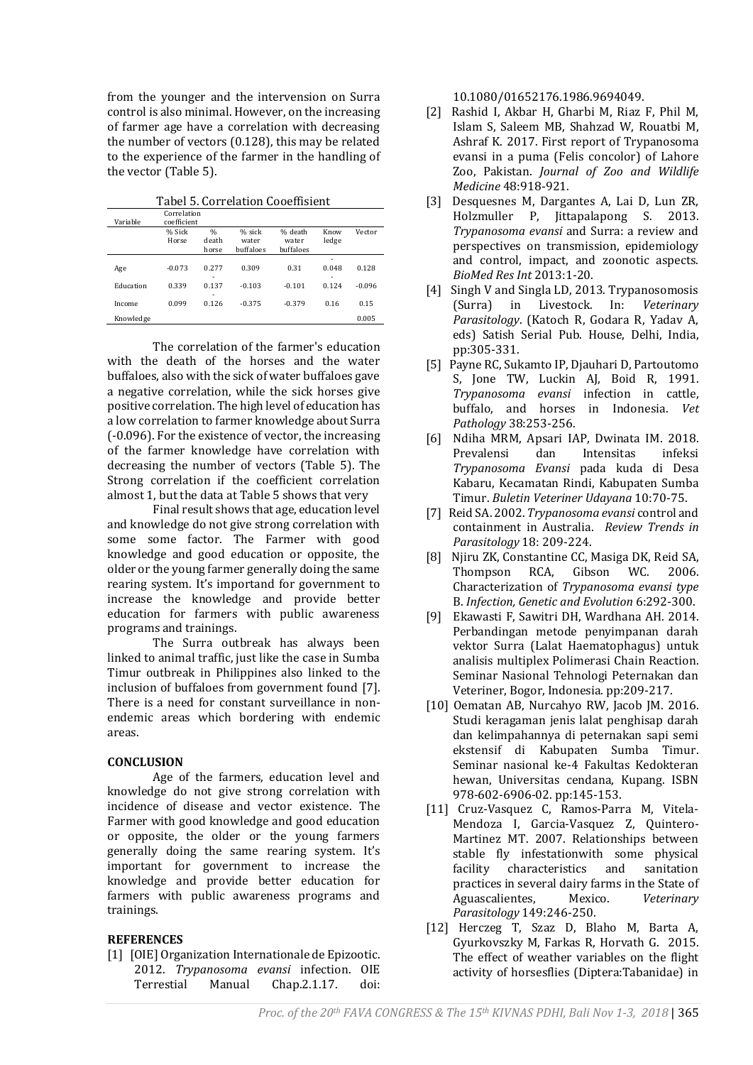from the younger and the intervension on Surra control is also minimal. However, on the increasing of farmer age have a correlation with decreasing the number of vectors (0.128), this may be related to the experience of the farmer in the handling of the vector (Table 5).

Tabel 5. Correlation Cooeffisient

| Variable  | Correlation<br>coefficient |                                 |                              |                               |               |          |
|-----------|----------------------------|---------------------------------|------------------------------|-------------------------------|---------------|----------|
|           | % Sick<br>Horse            | $\frac{0}{0}$<br>death<br>horse | % sick<br>water<br>buffaloes | % death<br>water<br>buffaloes | Know<br>ledge | Vector   |
| Age       | $-0.073$                   | 0.277                           | 0.309                        | 0.31                          | ۰<br>0.048    | 0.128    |
| Education | 0.339                      | ۰<br>0.137                      | $-0.103$                     | $-0.101$                      | ۰<br>0.124    | $-0.096$ |
| Income    | 0.099                      | ۰<br>0.126                      | $-0.375$                     | $-0.379$                      | 0.16          | 0.15     |
| Knowledge |                            |                                 |                              |                               |               | 0.005    |

The correlation of the farmer's education with the death of the horses and the water buffaloes, also with the sick of water buffaloes gave a negative correlation, while the sick horses give positive correlation. The high level of education has a low correlation to farmer knowledge about Surra (-0.096). For the existence of vector, the increasing of the farmer knowledge have correlation with decreasing the number of vectors (Table 5). The Strong correlation if the coefficient correlation almost 1, but the data at Table 5 shows that very

Final result shows that age, education level and knowledge do not give strong correlation with some some factor. The Farmer with good knowledge and good education or opposite, the older or the young farmer generally doing the same rearing system. It's importand for government to increase the knowledge and provide better education for farmers with public awareness programs and trainings.

The Surra outbreak has always been linked to animal traffic, just like the case in Sumba Timur outbreak in Philippines also linked to the inclusion of buffaloes from government found [7]. There is a need for constant surveillance in nonendemic areas which bordering with endemic areas.

# **CONCLUSION**

Age of the farmers, education level and knowledge do not give strong correlation with incidence of disease and vector existence. The Farmer with good knowledge and good education or opposite, the older or the young farmers generally doing the same rearing system. It's important for government to increase the knowledge and provide better education for farmers with public awareness programs and trainings.

### **REFERENCES**

[1] [OIE] Organization Internationale de Epizootic. 2012. *Trypanosoma evansi* infection. OIE Terrestial Manual Chap.2.1.17. doi:

10.1080/01652176.1986.9694049.

- [2] Rashid I, Akbar H, Gharbi M, Riaz F, Phil M, Islam S, Saleem MB, Shahzad W, Rouatbi M, Ashraf K. 2017. First report of Trypanosoma evansi in a puma (Felis concolor) of Lahore Zoo, Pakistan. *Journal of Zoo and Wildlife Medicine* 48:918-921.
- [3] Desquesnes M, Dargantes A, Lai D, Lun ZR, Holzmuller P, Jittapalapong S. 2013. *Trypanosoma evansi* and Surra: a review and perspectives on transmission, epidemiology and control, impact, and zoonotic aspects. *BioMed Res Int* 2013:1-20.
- [4] Singh V and Singla LD, 2013. Trypanosomosis (Surra) in Livestock. In: *Veterinary Parasitology*. (Katoch R, Godara R, Yadav A, eds) Satish Serial Pub. House, Delhi, India, pp:305-331.
- [5] Payne RC, Sukamto IP, Djauhari D, Partoutomo S, Jone TW, Luckin AJ, Boid R, 1991. *Trypanosoma evansi* infection in cattle, buffalo, and horses in Indonesia. *Vet Pathology* 38:253-256.
- [6] Ndiha MRM, Apsari IAP, Dwinata IM. 2018. Prevalensi dan Intensitas infeksi *Trypanosoma Evansi* pada kuda di Desa Kabaru, Kecamatan Rindi, Kabupaten Sumba Timur. *Buletin Veteriner Udayana* 10:70-75.
- [7] Reid SA. 2002. *Trypanosoma evansi* control and containment in Australia. *Review Trends in Parasitology* 18: 209-224.
- [8] Njiru ZK, Constantine CC, Masiga DK, Reid SA, Thompson RCA, Gibson WC. 2006. Characterization of *Trypanosoma evansi type* B. *Infection, Genetic and Evolution* 6:292-300.
- [9] Ekawasti F, Sawitri DH, Wardhana AH. 2014. Perbandingan metode penyimpanan darah vektor Surra (Lalat Haematophagus) untuk analisis multiplex Polimerasi Chain Reaction. Seminar Nasional Tehnologi Peternakan dan Veteriner, Bogor, Indonesia. pp:209-217.
- [10] Oematan AB, Nurcahyo RW, Jacob JM. 2016. Studi keragaman jenis lalat penghisap darah dan kelimpahannya di peternakan sapi semi ekstensif di Kabupaten Sumba Timur. Seminar nasional ke-4 Fakultas Kedokteran hewan, Universitas cendana, Kupang. ISBN 978-602-6906-02. pp:145-153.
- [11] Cruz-Vasquez C, Ramos-Parra M, Vitela-Mendoza I, Garcia-Vasquez Z, Quintero-Martinez MT. 2007. Relationships between stable fly infestationwith some physical facility characteristics and sanitation practices in several dairy farms in the State of Aguascalientes, Mexico. *Veterinary Parasitology* 149:246-250.
- [12] Herczeg T, Szaz D, Blaho M, Barta A, Gyurkovszky M, Farkas R, Horvath G. 2015. The effect of weather variables on the flight activity of horsesflies (Diptera:Tabanidae) in